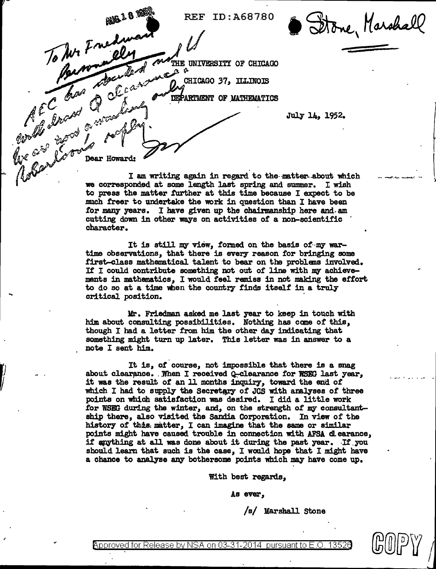Stone, Marshall REF ID : A68 7.8 0 To Jur France allen construe UNIVERSITY OF CHICAGO - **CHICAGO 37, ILLINOIS** - Chas Q C can compartment or MATHEMATICS  $\epsilon^c$  and  $\theta^c$  , and  $\theta$ July 14, 1952. and the store of the contract of the store of the store of the store of the store of the store of the store of t<br>And the store of the store of the store of the store of the store of the store of the store of the store of t  $\mathscr{W}^{\mathscr{A} \mathscr{A}}$  ,  $\mathscr{W}^{\mathscr{A}}$  ,  $\mathscr{W}^{\mathscr{A}}$  ,  $\mathscr{W}^{\mathscr{A}}$  ,  $\mathscr{W}^{\mathscr{A}}$  ,  $\mathscr{W}^{\mathscr{A}}$  ,  $\mathscr{W}^{\mathscr{A}}$  ,  $\mathscr{W}^{\mathscr{A}}$  ,  $\mathscr{W}^{\mathscr{A}}$  ,  $\mathscr{W}^{\mathscr{A}}$  ,  $\mathscr{W}^{\mathscr{A}}$  ,  $\mathscr{W}^{\mathscr{A}}$  ,

I am writing again in regard to the-matter-about which we corresponded at some length last spring and summer. I wish we corresponded at some length last spring and summer. I wish to press the matter further at this time because I expect to be much freer to undertake the work in question than I have been for many years. I have given up the chairmanship here and.am cutting down in other ways on activities of a non-scientific · character.

..... ....,,. .... "-~--...

*@@[p)J* I

 $\iota$ 

It is still my view, formed on the basis of my wartime observations, that there is every reason for bringing some first-class mathematical talent to bear on the problans involved. It I could contribute something not out of line with my achievements in mathematics, I would feel remiss in not making the effort to do so at a time when the country finds itself in a truly critical position.

Mr. Friedman asked me last year to keep in touch with him about consulting possibilities. Nothing has cane of this, though I had a letter from him the other day indicating that something might turn up later. This letter was in answer to a note I sent him.

-·

It is, of course, not impossib1e that there is a snag about clearance. . When I received  $Q$ -clearance for WSEG last year. it was the result of an 11 months inquiry, toward the end of which I had to supply the Secretary of JCS with analyses of three points on which satisfaction was desired. I did a little work for WSEG during the winter, and, on the strength of my consultantship there, also visited the Sandia Corporation. In view of the history of this matter, I can imagine that the same or similar points might have caused trouble in connection with AFSA clearance, if anything at all was done about it during the past year. If you should leam that such is the case, I would hope that I might have a chance to analyse any bothersome points which may have come up.

With best regards,

As ever,

/s/ Marshall Stone

Approved for Release by NSA on 03-31-2014 pursuant to E.O.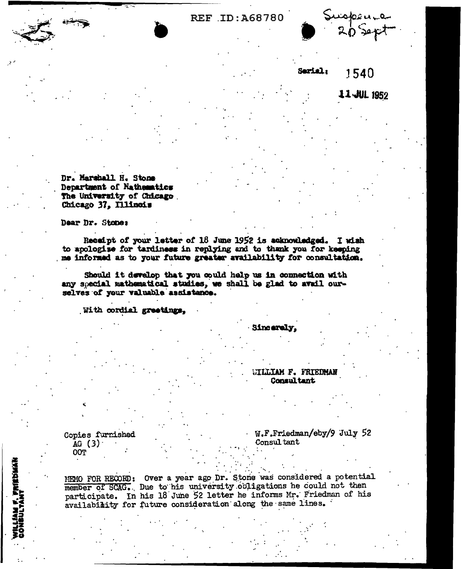## **REF ID: A68780**



## Serial: 1540

11-JUL 1952

Dr. Marshall H. Stone Department of Nathematics The University of Chicago Chicago 37, Illinois

Dear Dr. Stone:

Receipt of your letter of 18 June 1952 is acknowledged. I wish to apologize for tardiness in replying and to thank you for keeping me informed as to your future greater availability for consultation.

Should it develop that you could help us in connection with any special mathematical studies, we shall be glad to avail ourselves of your valuable assistance.

With cordial greetings,

Sincarely.

## **HILLIAM F. FRIEDMAN** Consultant

Copies furnished AG  $(3)$ **OOT** 

WILLIAM F. PRIEDMAN<br>GONBULTANT

W.F.Friedman/eby/9 July 52 Consultant

MEMO FOR RECORD: Over a year ago Dr. Stone was considered a potential member of SCAG. Due to his university obligations he could not then participate. In his 18 June 52 letter he informs Mr. Friedman of his availability for future consideration along the same lines.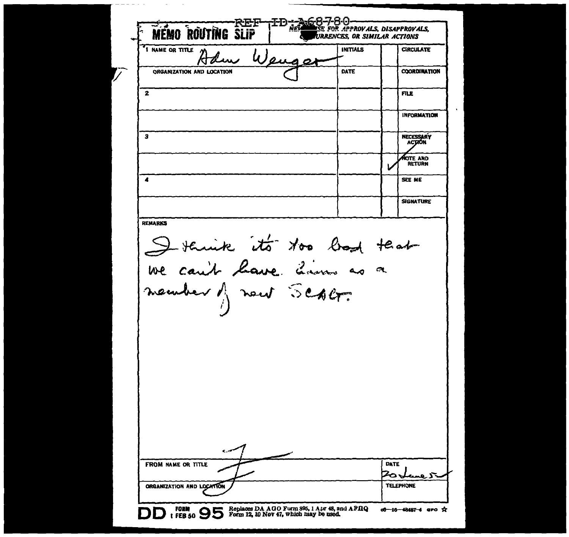MEMO ROUTING SLIP FD ; ACS -80 <u>śe for Approvals, disapprovals,</u> **URRENCES, OR SIMILAR ACTIONS I NAME OR TITLE INITIALS CIRCULATE DATE COORDINATION** ORGANIZATION AND LOCATION  $\mathbf{z}$ **FILE INFORMATION**  $\overline{\mathbf{3}}$ **NECESSARY HOTE AND**  $\mathbf{A}$ SEE ME **SIGNATURE REMARKS** Detaine its too bod teat member of new SCABF. **DATE** FROM NAME OR TITLE -آل جه ÷. **TELEPHONE** ORGANIZATION AND LOCATION FORM 12, 10 Nov 47, which may be used. of-16-48487-4 aro \*\*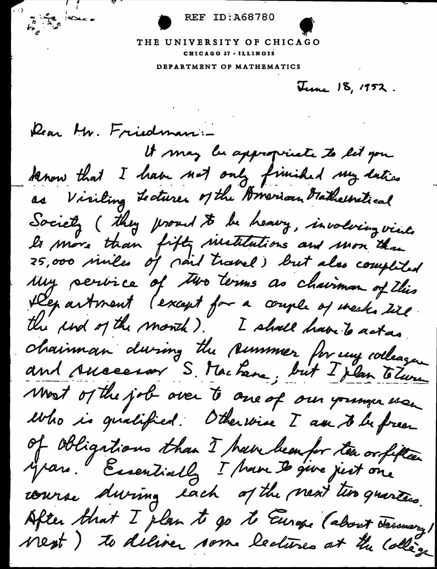REF ID:A68780

THE UNIVERSITY OF CHICAGO CHICAGO 37 •ILLINOIS

DEPARTMENT OP MATHEMATICS

June 18, 1952.

Rear Mr. Friedman:

Andrews

It may be appropriate to let you know that I have not only finished my latics as Visiling Lectures of the American Gathelsstical Society (they proud to be heavy, involving viat.<br>Is more than fifty sinstitutions and mon than<br>25,000 sinles of rail travel) but also completed Department (except for a couple of week, till the und of the month). I shall have to act as chainman during the summer for my colleague and Ausserson S. Machane, but I plan Tolurn Most of the job over to one of our younger use Who is gualified. Otherwise I am to be free of Obligations than I have been for ten or filter course during each of the next two quarters. After that I plan to go to Europe (about January) Nest) to deliver som lectures at the collège